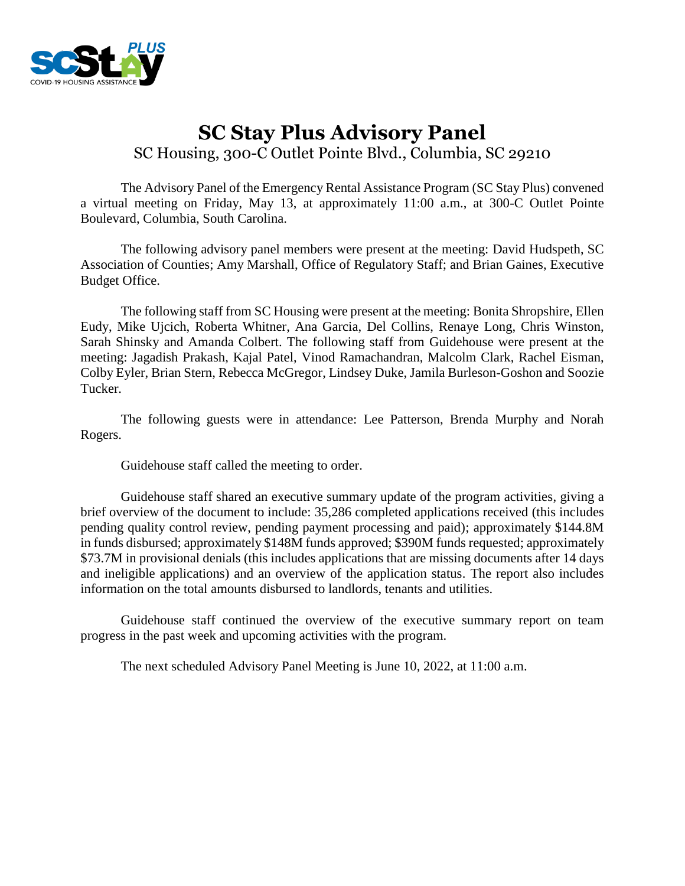

# **SC Stay Plus Advisory Panel** SC Housing, 300-C Outlet Pointe Blvd., Columbia, SC 29210

The Advisory Panel of the Emergency Rental Assistance Program (SC Stay Plus) convened a virtual meeting on Friday, May 13, at approximately 11:00 a.m., at 300-C Outlet Pointe Boulevard, Columbia, South Carolina.

The following advisory panel members were present at the meeting: David Hudspeth, SC Association of Counties; Amy Marshall, Office of Regulatory Staff; and Brian Gaines, Executive Budget Office.

The following staff from SC Housing were present at the meeting: Bonita Shropshire, Ellen Eudy, Mike Ujcich, Roberta Whitner, Ana Garcia, Del Collins, Renaye Long, Chris Winston, Sarah Shinsky and Amanda Colbert. The following staff from Guidehouse were present at the meeting: Jagadish Prakash, Kajal Patel, Vinod Ramachandran, Malcolm Clark, Rachel Eisman, Colby Eyler, Brian Stern, Rebecca McGregor, Lindsey Duke, Jamila Burleson-Goshon and Soozie Tucker.

The following guests were in attendance: Lee Patterson, Brenda Murphy and Norah Rogers.

Guidehouse staff called the meeting to order.

Guidehouse staff shared an executive summary update of the program activities, giving a brief overview of the document to include: 35,286 completed applications received (this includes pending quality control review, pending payment processing and paid); approximately \$144.8M in funds disbursed; approximately \$148M funds approved; \$390M funds requested; approximately \$73.7M in provisional denials (this includes applications that are missing documents after 14 days and ineligible applications) and an overview of the application status. The report also includes information on the total amounts disbursed to landlords, tenants and utilities.

Guidehouse staff continued the overview of the executive summary report on team progress in the past week and upcoming activities with the program.

The next scheduled Advisory Panel Meeting is June 10, 2022, at 11:00 a.m.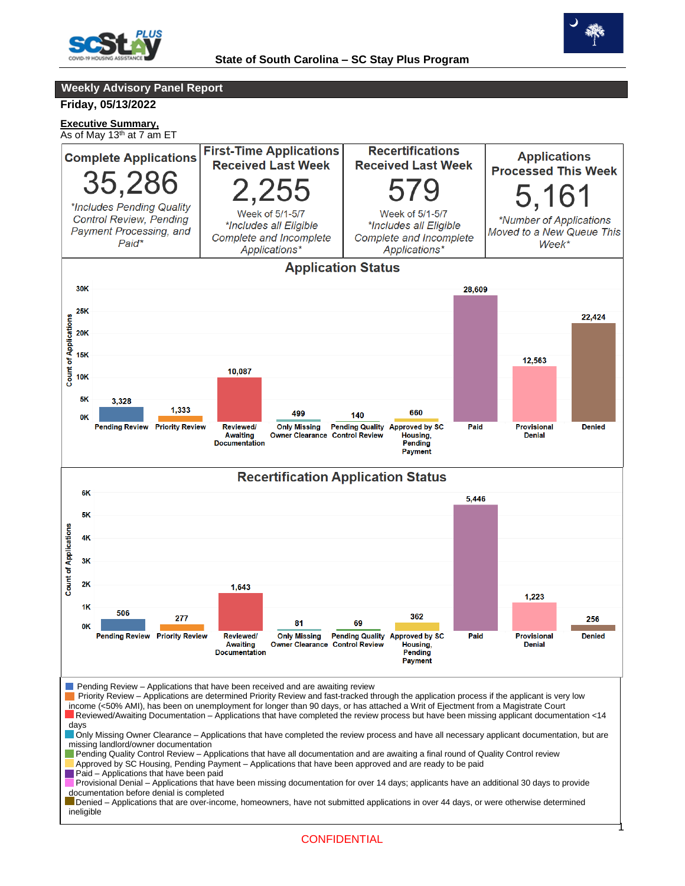



**Weekly Advisory Panel Report**

**Friday, 05/13/2022**

**Executive Summary,** As of May 13<sup>th</sup> at 7 am ET

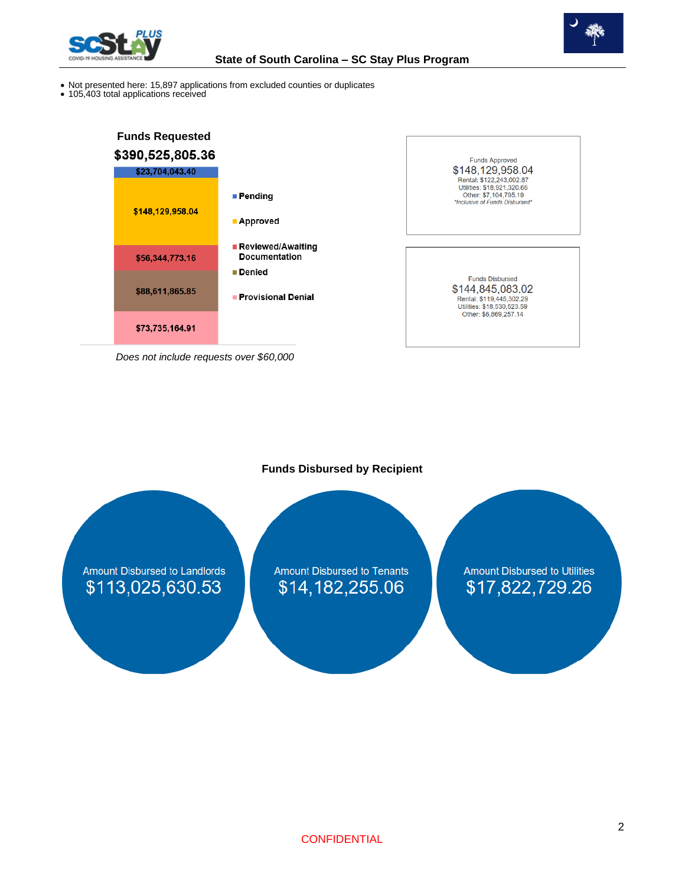



**Funds Approved** \$148,129,958.04

Printal: \$122,243,002.87<br>
Rental: \$122,243,002.87<br>
Utilities: \$18,921,320.66<br>
Other: \$7,104,795.19<br>
"Inclusive of Funds Disbursed"

**Funds Disbursed** \$144,845,083.02

Rental: \$119,445,302.29 Utilities: \$18,530,523.59<br>Other: \$6,869,257.14

- Not presented here: 15,897 applications from excluded counties or duplicates
- 105,403 total applications received



*Does not include requests over \$60,000*

**Funds Disbursed by Recipient**

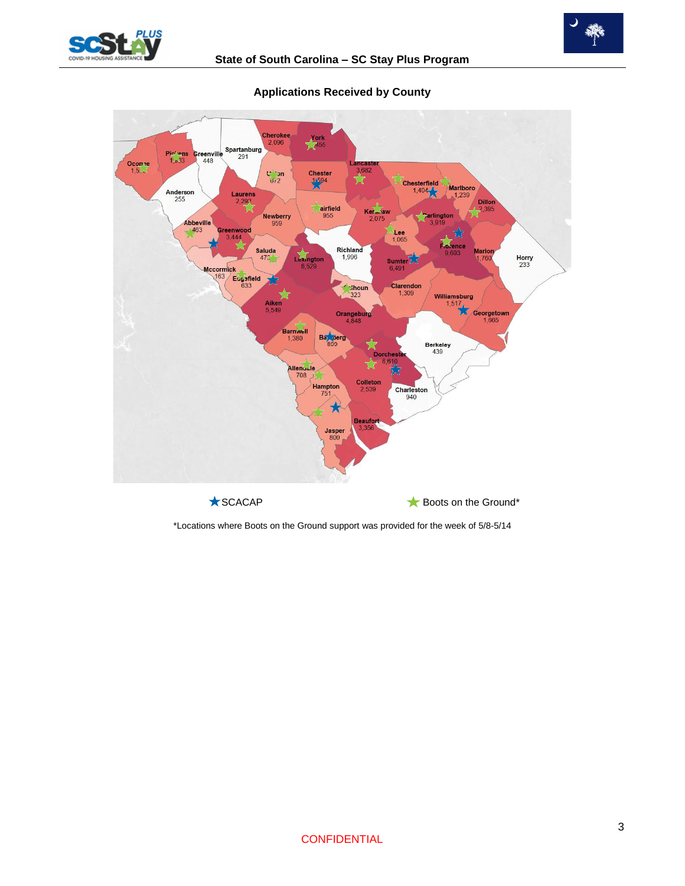





## **Applications Received by County**

\*Locations where Boots on the Ground support was provided for the week of 5/8-5/14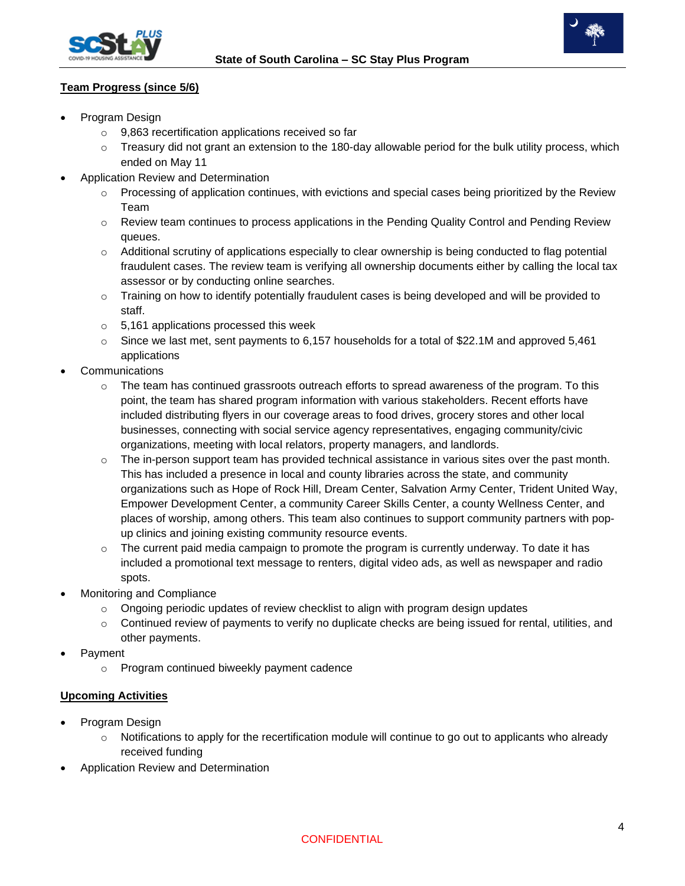



### **Team Progress (since 5/6)**

- Program Design
	- o 9,863 recertification applications received so far
	- o Treasury did not grant an extension to the 180-day allowable period for the bulk utility process, which ended on May 11
	- Application Review and Determination
		- $\circ$  Processing of application continues, with evictions and special cases being prioritized by the Review Team
		- $\circ$  Review team continues to process applications in the Pending Quality Control and Pending Review queues.
		- o Additional scrutiny of applications especially to clear ownership is being conducted to flag potential fraudulent cases. The review team is verifying all ownership documents either by calling the local tax assessor or by conducting online searches.
		- $\circ$  Training on how to identify potentially fraudulent cases is being developed and will be provided to staff.
		- o 5,161 applications processed this week
		- $\circ$  Since we last met, sent payments to 6,157 households for a total of \$22.1M and approved 5,461 applications
- **Communications** 
	- $\circ$  The team has continued grassroots outreach efforts to spread awareness of the program. To this point, the team has shared program information with various stakeholders. Recent efforts have included distributing flyers in our coverage areas to food drives, grocery stores and other local businesses, connecting with social service agency representatives, engaging community/civic organizations, meeting with local relators, property managers, and landlords.
	- $\circ$  The in-person support team has provided technical assistance in various sites over the past month. This has included a presence in local and county libraries across the state, and community organizations such as Hope of Rock Hill, Dream Center, Salvation Army Center, Trident United Way, Empower Development Center, a community Career Skills Center, a county Wellness Center, and places of worship, among others. This team also continues to support community partners with popup clinics and joining existing community resource events.
	- $\circ$  The current paid media campaign to promote the program is currently underway. To date it has included a promotional text message to renters, digital video ads, as well as newspaper and radio spots.
- Monitoring and Compliance
	- $\circ$  Ongoing periodic updates of review checklist to align with program design updates
	- $\circ$  Continued review of payments to verify no duplicate checks are being issued for rental, utilities, and other payments.
- Payment
	- o Program continued biweekly payment cadence

## **Upcoming Activities**

- Program Design
	- $\circ$  Notifications to apply for the recertification module will continue to go out to applicants who already received funding
- Application Review and Determination